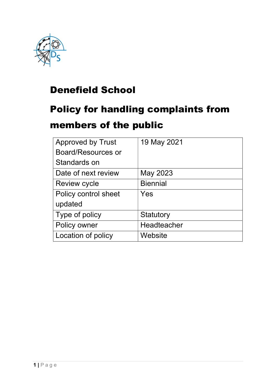

### Denefield School

# Policy for handling complaints from

### members of the public

| <b>Approved by Trust</b> | 19 May 2021     |
|--------------------------|-----------------|
| Board/Resources or       |                 |
| Standards on             |                 |
| Date of next review      | May 2023        |
| <b>Review cycle</b>      | <b>Biennial</b> |
| Policy control sheet     | Yes             |
| updated                  |                 |
| Type of policy           | Statutory       |
| Policy owner             | Headteacher     |
| Location of policy       | Website         |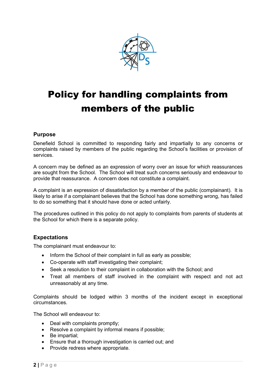

## Policy for handling complaints from members of the public

#### Purpose

Denefield School is committed to responding fairly and impartially to any concerns or complaints raised by members of the public regarding the School's facilities or provision of services.

A concern may be defined as an expression of worry over an issue for which reassurances are sought from the School. The School will treat such concerns seriously and endeavour to provide that reassurance. A concern does not constitute a complaint.

A complaint is an expression of dissatisfaction by a member of the public (complainant). It is likely to arise if a complainant believes that the School has done something wrong, has failed to do so something that it should have done or acted unfairly.

The procedures outlined in this policy do not apply to complaints from parents of students at the School for which there is a separate policy.

#### Expectations

The complainant must endeavour to:

- Inform the School of their complaint in full as early as possible;
- Co-operate with staff investigating their complaint;
- Seek a resolution to their complaint in collaboration with the School; and
- Treat all members of staff involved in the complaint with respect and not act unreasonably at any time.

Complaints should be lodged within 3 months of the incident except in exceptional circumstances.

The School will endeavour to:

- Deal with complaints promptly;
- Resolve a complaint by informal means if possible;
- Be impartial;
- Ensure that a thorough investigation is carried out; and
- Provide redress where appropriate.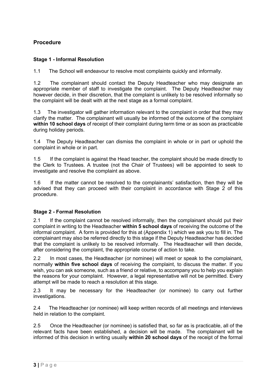#### Procedure

#### Stage 1 - Informal Resolution

1.1 The School will endeavour to resolve most complaints quickly and informally.

1.2 The complainant should contact the Deputy Headteacher who may designate an appropriate member of staff to investigate the complaint. The Deputy Headteacher may however decide, in their discretion, that the complaint is unlikely to be resolved informally so the complaint will be dealt with at the next stage as a formal complaint.

1.3 The investigator will gather information relevant to the complaint in order that they may clarify the matter. The complainant will usually be informed of the outcome of the complaint within 10 school days of receipt of their complaint during term time or as soon as practicable during holiday periods.

1.4 The Deputy Headteacher can dismiss the complaint in whole or in part or uphold the complaint in whole or in part.

1.5 If the complaint is against the Head teacher, the complaint should be made directly to the Clerk to Trustees. A trustee (not the Chair of Trustees) will be appointed to seek to investigate and resolve the complaint as above.

1.6 If the matter cannot be resolved to the complainants' satisfaction, then they will be advised that they can proceed with their complaint in accordance with Stage 2 of this procedure.

#### Stage 2 - Formal Resolution

2.1 If the complaint cannot be resolved informally, then the complainant should put their complaint in writing to the Headteacher within 5 school days of receiving the outcome of the informal complaint. A form is provided for this at (Appendix 1) which we ask you to fill in. The complainant may also be referred directly to this stage if the Deputy Headteacher has decided that the complaint is unlikely to be resolved informally. The Headteacher will then decide, after considering the complaint, the appropriate course of action to take.

2.2 In most cases, the Headteacher (or nominee) will meet or speak to the complainant, normally within five school days of receiving the complaint, to discuss the matter. If you wish, you can ask someone, such as a friend or relative, to accompany you to help you explain the reasons for your complaint. However, a legal representative will not be permitted. Every attempt will be made to reach a resolution at this stage.

2.3 It may be necessary for the Headteacher (or nominee) to carry out further investigations.

2.4 The Headteacher (or nominee) will keep written records of all meetings and interviews held in relation to the complaint.

2.5 Once the Headteacher (or nominee) is satisfied that, so far as is practicable, all of the relevant facts have been established, a decision will be made. The complainant will be informed of this decision in writing usually within 20 school days of the receipt of the formal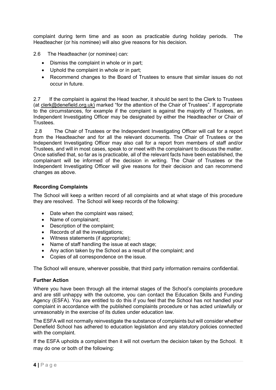complaint during term time and as soon as practicable during holiday periods. The Headteacher (or his nominee) will also give reasons for his decision.

2.6 The Headteacher (or nominee) can:

- Dismiss the complaint in whole or in part;
- Uphold the complaint in whole or in part;
- Recommend changes to the Board of Trustees to ensure that similar issues do not occur in future.

2.7 If the complaint is against the Head teacher, it should be sent to the Clerk to Trustees (at clerk@denefield.org.uk) marked "for the attention of the Chair of Trustees". If appropriate to the circumstances, for example if the complaint is against the majority of Trustees, an Independent Investigating Officer may be designated by either the Headteacher or Chair of **Trustees** 

 2.8 The Chair of Trustees or the Independent Investigating Officer will call for a report from the Headteacher and for all the relevant documents. The Chair of Trustees or the Independent Investigating Officer may also call for a report from members of staff and/or Trustees, and will in most cases, speak to or meet with the complainant to discuss the matter. Once satisfied that, so far as is practicable, all of the relevant facts have been established, the complainant will be informed of the decision in writing. The Chair of Trustees or the Independent Investigating Officer will give reasons for their decision and can recommend changes as above.

#### Recording Complaints

The School will keep a written record of all complaints and at what stage of this procedure they are resolved. The School will keep records of the following:

- Date when the complaint was raised;
- Name of complainant:
- Description of the complaint:
- Records of all the investigations;
- Witness statements (if appropriate);
- Name of staff handling the issue at each stage;
- Any action taken by the School as a result of the complaint; and
- Copies of all correspondence on the issue.

The School will ensure, wherever possible, that third party information remains confidential.

#### Further Action

Where you have been through all the internal stages of the School's complaints procedure and are still unhappy with the outcome, you can contact the Education Skills and Funding Agency (ESFA). You are entitled to do this if you feel that the School has not handled your complaint in accordance with the published complaints procedure or has acted unlawfully or unreasonably in the exercise of its duties under education law.

The ESFA will not normally reinvestigate the substance of complaints but will consider whether Denefield School has adhered to education legislation and any statutory policies connected with the complaint.

If the ESFA upholds a complaint then it will not overturn the decision taken by the School. It may do one or both of the following: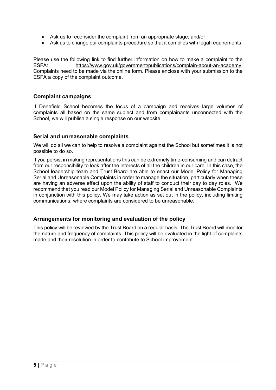- Ask us to reconsider the complaint from an appropriate stage; and/or
- Ask us to change our complaints procedure so that it complies with legal requirements.

Please use the following link to find further information on how to make a complaint to the ESFA: https://www.gov.uk/government/publications/complain-about-an-academy. Complaints need to be made via the online form. Please enclose with your submission to the ESFA a copy of the complaint outcome.

#### Complaint campaigns

If Denefield School becomes the focus of a campaign and receives large volumes of complaints all based on the same subject and from complainants unconnected with the School, we will publish a single response on our website.

#### Serial and unreasonable complaints

We will do all we can to help to resolve a complaint against the School but sometimes it is not possible to do so.

If you persist in making representations this can be extremely time-consuming and can detract from our responsibility to look after the interests of all the children in our care. In this case, the School leadership team and Trust Board are able to enact our Model Policy for Managing Serial and Unreasonable Complaints in order to manage the situation, particularly when these are having an adverse effect upon the ability of staff to conduct their day to day roles. We recommend that you read our Model Policy for Managing Serial and Unreasonable Complaints in conjunction with this policy. We may take action as set out in the policy, including limiting communications, where complaints are considered to be unreasonable.

#### Arrangements for monitoring and evaluation of the policy

This policy will be reviewed by the Trust Board on a regular basis. The Trust Board will monitor the nature and frequency of complaints. This policy will be evaluated in the light of complaints made and their resolution in order to contribute to School improvement